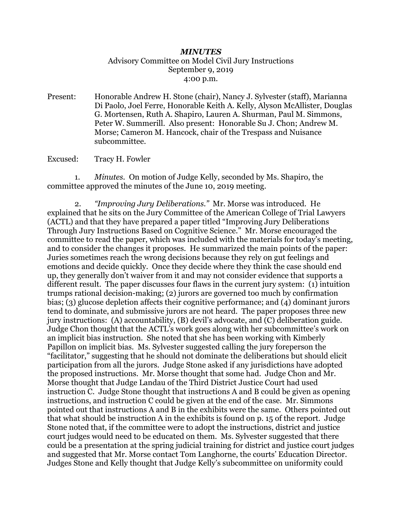## *MINUTES* Advisory Committee on Model Civil Jury Instructions September 9, 2019 4:00 p.m.

Present: Honorable Andrew H. Stone (chair), Nancy J. Sylvester (staff), Marianna Di Paolo, Joel Ferre, Honorable Keith A. Kelly, Alyson McAllister, Douglas G. Mortensen, Ruth A. Shapiro, Lauren A. Shurman, Paul M. Simmons, Peter W. Summerill. Also present: Honorable Su J. Chon; Andrew M. Morse; Cameron M. Hancock, chair of the Trespass and Nuisance subcommittee.

Excused: Tracy H. Fowler

 1. *Minutes.* On motion of Judge Kelly, seconded by Ms. Shapiro, the committee approved the minutes of the June 10, 2019 meeting.

 2. *"Improving Jury Deliberations."* Mr. Morse was introduced. He explained that he sits on the Jury Committee of the American College of Trial Lawyers (ACTL) and that they have prepared a paper titled "Improving Jury Deliberations Through Jury Instructions Based on Cognitive Science." Mr. Morse encouraged the committee to read the paper, which was included with the materials for today's meeting, and to consider the changes it proposes. He summarized the main points of the paper: Juries sometimes reach the wrong decisions because they rely on gut feelings and emotions and decide quickly. Once they decide where they think the case should end up, they generally don't waiver from it and may not consider evidence that supports a different result. The paper discusses four flaws in the current jury system: (1) intuition trumps rational decision-making; (2) jurors are governed too much by confirmation bias; (3) glucose depletion affects their cognitive performance; and (4) dominant jurors tend to dominate, and submissive jurors are not heard. The paper proposes three new jury instructions: (A) accountability, (B) devil's advocate, and (C) deliberation guide. Judge Chon thought that the ACTL's work goes along with her subcommittee's work on an implicit bias instruction. She noted that she has been working with Kimberly Papillon on implicit bias. Ms. Sylvester suggested calling the jury foreperson the "facilitator," suggesting that he should not dominate the deliberations but should elicit participation from all the jurors. Judge Stone asked if any jurisdictions have adopted the proposed instructions. Mr. Morse thought that some had. Judge Chon and Mr. Morse thought that Judge Landau of the Third District Justice Court had used instruction C. Judge Stone thought that instructions A and B could be given as opening instructions, and instruction C could be given at the end of the case. Mr. Simmons pointed out that instructions A and B in the exhibits were the same. Others pointed out that what should be instruction A in the exhibits is found on p. 15 of the report. Judge Stone noted that, if the committee were to adopt the instructions, district and justice court judges would need to be educated on them. Ms. Sylvester suggested that there could be a presentation at the spring judicial training for district and justice court judges and suggested that Mr. Morse contact Tom Langhorne, the courts' Education Director. Judges Stone and Kelly thought that Judge Kelly's subcommittee on uniformity could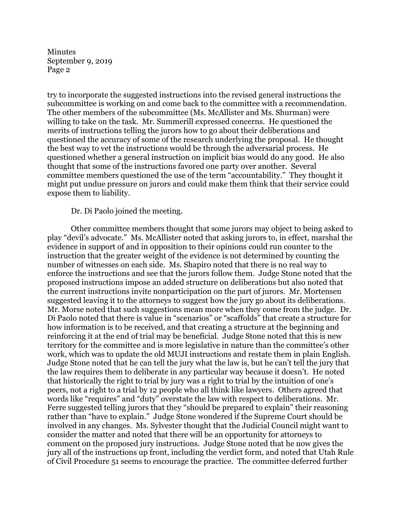Minutes September 9, 2019 Page 2

try to incorporate the suggested instructions into the revised general instructions the subcommittee is working on and come back to the committee with a recommendation. The other members of the subcommittee (Ms. McAllister and Ms. Shurman) were willing to take on the task. Mr. Summerill expressed concerns. He questioned the merits of instructions telling the jurors how to go about their deliberations and questioned the accuracy of some of the research underlying the proposal. He thought the best way to vet the instructions would be through the adversarial process. He questioned whether a general instruction on implicit bias would do any good. He also thought that some of the instructions favored one party over another. Several committee members questioned the use of the term "accountability." They thought it might put undue pressure on jurors and could make them think that their service could expose them to liability.

Dr. Di Paolo joined the meeting.

Other committee members thought that some jurors may object to being asked to play "devil's advocate." Ms. McAllister noted that asking jurors to, in effect, marshal the evidence in support of and in opposition to their opinions could run counter to the instruction that the greater weight of the evidence is not determined by counting the number of witnesses on each side. Ms. Shapiro noted that there is no real way to enforce the instructions and see that the jurors follow them. Judge Stone noted that the proposed instructions impose an added structure on deliberations but also noted that the current instructions invite nonparticipation on the part of jurors. Mr. Mortensen suggested leaving it to the attorneys to suggest how the jury go about its deliberations. Mr. Morse noted that such suggestions mean more when they come from the judge. Dr. Di Paolo noted that there is value in "scenarios" or "scaffolds" that create a structure for how information is to be received, and that creating a structure at the beginning and reinforcing it at the end of trial may be beneficial. Judge Stone noted that this is new territory for the committee and is more legislative in nature than the committee's other work, which was to update the old MUJI instructions and restate them in plain English. Judge Stone noted that he can tell the jury what the law is, but he can't tell the jury that the law requires them to deliberate in any particular way because it doesn't. He noted that historically the right to trial by jury was a right to trial by the intuition of one's peers, not a right to a trial by 12 people who all think like lawyers. Others agreed that words like "requires" and "duty" overstate the law with respect to deliberations. Mr. Ferre suggested telling jurors that they "should be prepared to explain" their reasoning rather than "have to explain." Judge Stone wondered if the Supreme Court should be involved in any changes. Ms. Sylvester thought that the Judicial Council might want to consider the matter and noted that there will be an opportunity for attorneys to comment on the proposed jury instructions. Judge Stone noted that he now gives the jury all of the instructions up front, including the verdict form, and noted that Utah Rule of Civil Procedure 51 seems to encourage the practice. The committee deferred further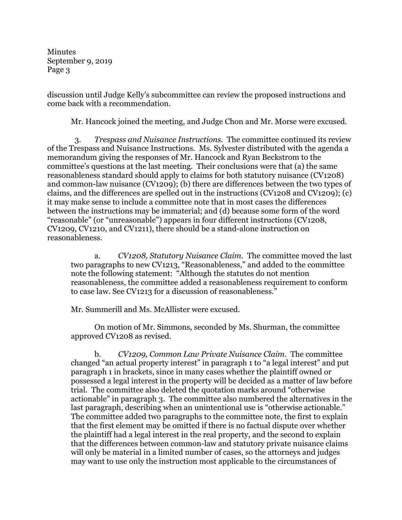Minutes September 9, 2019 Page 3

discussion until Judge Kelly's subcommittee can review the proposed instructions and come back with a recommendation.

Mr. Hancock joined the meeting, and Judge Chon and Mr. Morse were excused.

 3. *Trespass and Nuisance Instructions.* The committee continued its review of the Trespass and Nuisance Instructions. Ms. Sylvester distributed with the agenda a memorandum giving the responses of Mr. Hancock and Ryan Beckstrom to the committee's questions at the last meeting. Their conclusions were that (a) the same reasonableness standard should apply to claims for both statutory nuisance (CV1208) and common-law nuisance (CV1209); (b) there are differences between the two types of claims, and the differences are spelled out in the instructions (CV1208 and CV1209); (c) it may make sense to include a committee note that in most cases the differences between the instructions may be immaterial; and (d) because some form of the word "reasonable" (or "unreasonable") appears in four different instructions (CV1208, CV1209, CV1210, and CV1211), there should be a stand-alone instruction on reasonableness.

a. *CV1208, Statutory Nuisance Claim.* The committee moved the last two paragraphs to new CV1213, "Reasonableness," and added to the committee note the following statement: "Although the statutes do not mention reasonableness, the committee added a reasonableness requirement to conform to case law. See CV1213 for a discussion of reasonableness."

Mr. Summerill and Ms. McAllister were excused.

On motion of Mr. Simmons, seconded by Ms. Shurman, the committee approved CV1208 as revised.

b. *CV1209, Common Law Private Nuisance Claim.* The committee changed "an actual property interest" in paragraph 1 to "a legal interest" and put paragraph 1 in brackets, since in many cases whether the plaintiff owned or possessed a legal interest in the property will be decided as a matter of law before trial. The committee also deleted the quotation marks around "otherwise actionable" in paragraph 3. The committee also numbered the alternatives in the last paragraph, describing when an unintentional use is "otherwise actionable." The committee added two paragraphs to the committee note, the first to explain that the first element may be omitted if there is no factual dispute over whether the plaintiff had a legal interest in the real property, and the second to explain that the differences between common-law and statutory private nuisance claims will only be material in a limited number of cases, so the attorneys and judges may want to use only the instruction most applicable to the circumstances of